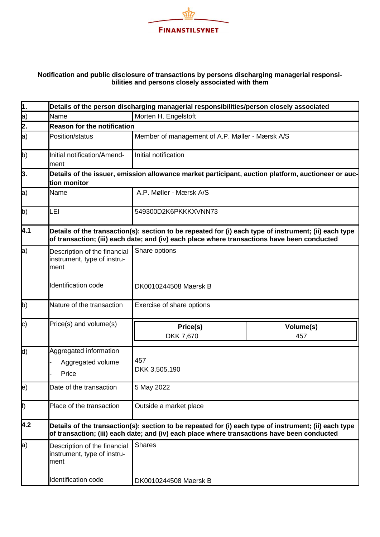

## **Notification and public disclosure of transactions by persons discharging managerial responsibilities and persons closely associated with them**

| 1.                 | Details of the person discharging managerial responsibilities/person closely associated                            |                                                                                                                                                                                                      |           |  |  |
|--------------------|--------------------------------------------------------------------------------------------------------------------|------------------------------------------------------------------------------------------------------------------------------------------------------------------------------------------------------|-----------|--|--|
| a)                 | Name                                                                                                               | Morten H. Engelstoft                                                                                                                                                                                 |           |  |  |
| 2.                 | <b>Reason for the notification</b>                                                                                 |                                                                                                                                                                                                      |           |  |  |
| a)                 | Position/status                                                                                                    | Member of management of A.P. Møller - Mærsk A/S                                                                                                                                                      |           |  |  |
| b)                 | Initial notification/Amend-<br>ment                                                                                | Initial notification                                                                                                                                                                                 |           |  |  |
| 3.                 | Details of the issuer, emission allowance market participant, auction platform, auctioneer or auc-<br>tion monitor |                                                                                                                                                                                                      |           |  |  |
| $ a\rangle$        | Name                                                                                                               | A.P. Møller - Mærsk A/S                                                                                                                                                                              |           |  |  |
| b)                 | LEI                                                                                                                | 549300D2K6PKKKXVNN73                                                                                                                                                                                 |           |  |  |
| 4.1                |                                                                                                                    | Details of the transaction(s): section to be repeated for (i) each type of instrument; (ii) each type<br>of transaction; (iii) each date; and (iv) each place where transactions have been conducted |           |  |  |
| a)                 | Description of the financial<br>instrument, type of instru-<br>ment                                                | Share options                                                                                                                                                                                        |           |  |  |
|                    | Identification code                                                                                                | DK0010244508 Maersk B                                                                                                                                                                                |           |  |  |
| $ b\rangle$        | Nature of the transaction                                                                                          | Exercise of share options                                                                                                                                                                            |           |  |  |
| $\mathsf{c})$      | Price(s) and volume(s)                                                                                             | Price(s)                                                                                                                                                                                             | Volume(s) |  |  |
|                    |                                                                                                                    | DKK 7,670                                                                                                                                                                                            | 457       |  |  |
| d)                 | Aggregated information<br>Aggregated volume<br>Price                                                               | 457<br>DKK 3,505,190                                                                                                                                                                                 |           |  |  |
| $\ket{\mathrm{e}}$ | Date of the transaction                                                                                            | 5 May 2022                                                                                                                                                                                           |           |  |  |
| f)                 | Place of the transaction                                                                                           | Outside a market place                                                                                                                                                                               |           |  |  |
| 4.2                |                                                                                                                    | Details of the transaction(s): section to be repeated for (i) each type of instrument; (ii) each type<br>of transaction; (iii) each date; and (iv) each place where transactions have been conducted |           |  |  |
| $ a\rangle$        | Description of the financial<br>instrument, type of instru-<br>ment                                                | <b>Shares</b>                                                                                                                                                                                        |           |  |  |
|                    | Identification code                                                                                                | DK0010244508 Maersk B                                                                                                                                                                                |           |  |  |